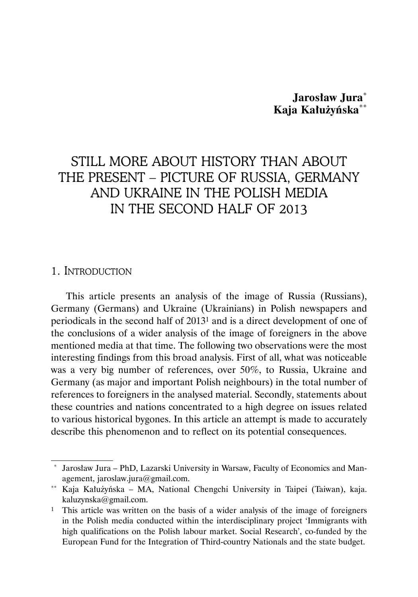# **Jarosław Jura**\* **Kaja Kałużyńska**\*\*

# STILL MORE ABOUT HISTORY THAN ABOUT THE PRESENT – PICTURE OF RUSSIA, GERMANY AND UKRAINE IN THE POLISH MEDIA IN THE SECOND HALF OF 2013

## 1. INTRODUCTION

This article presents an analysis of the image of Russia (Russians), Germany (Germans) and Ukraine (Ukrainians) in Polish newspapers and periodicals in the second half of 20131 and is a direct development of one of the conclusions of a wider analysis of the image of foreigners in the above mentioned media at that time. The following two observations were the most interesting findings from this broad analysis. First of all, what was noticeable was a very big number of references, over 50%, to Russia, Ukraine and Germany (as major and important Polish neighbours) in the total number of references to foreigners in the analysed material. Secondly, statements about these countries and nations concentrated to a high degree on issues related to various historical bygones. In this article an attempt is made to accurately describe this phenomenon and to reflect on its potential consequences.

Jarosław Jura – PhD, Lazarski University in Warsaw, Faculty of Economics and Management, jaroslaw.jura@gmail.com.

<sup>\*\*</sup> Kaja Kałużyńska – MA, National Chengchi University in Taipei (Taiwan), kaja. kaluzynska@gmail.com.

<sup>1</sup> This article was written on the basis of a wider analysis of the image of foreigners in the Polish media conducted within the interdisciplinary project 'Immigrants with high qualifications on the Polish labour market. Social Research', co-funded by the European Fund for the Integration of Third-country Nationals and the state budget.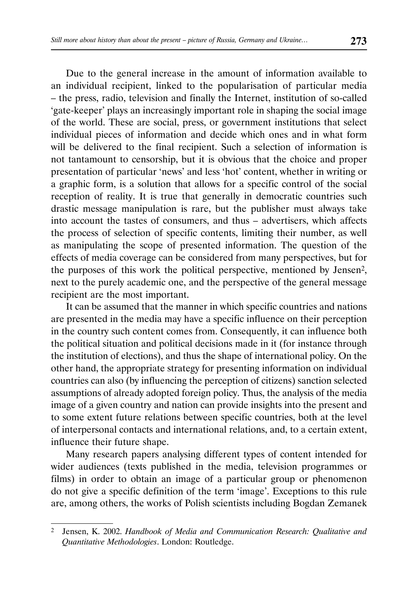Due to the general increase in the amount of information available to an individual recipient, linked to the popularisation of particular media – the press, radio, television and finally the Internet, institution of so-called 'gate-keeper' plays an increasingly important role in shaping the social image of the world. These are social, press, or government institutions that select individual pieces of information and decide which ones and in what form will be delivered to the final recipient. Such a selection of information is not tantamount to censorship, but it is obvious that the choice and proper presentation of particular 'news' and less 'hot' content, whether in writing or a graphic form, is a solution that allows for a specific control of the social reception of reality. It is true that generally in democratic countries such drastic message manipulation is rare, but the publisher must always take into account the tastes of consumers, and thus – advertisers, which affects the process of selection of specific contents, limiting their number, as well as manipulating the scope of presented information. The question of the effects of media coverage can be considered from many perspectives, but for the purposes of this work the political perspective, mentioned by Jensen2, next to the purely academic one, and the perspective of the general message recipient are the most important.

It can be assumed that the manner in which specific countries and nations are presented in the media may have a specific influence on their perception in the country such content comes from. Consequently, it can influence both the political situation and political decisions made in it (for instance through the institution of elections), and thus the shape of international policy. On the other hand, the appropriate strategy for presenting information on individual countries can also (by influencing the perception of citizens) sanction selected assumptions of already adopted foreign policy. Thus, the analysis of the media image of a given country and nation can provide insights into the present and to some extent future relations between specific countries, both at the level of interpersonal contacts and international relations, and, to a certain extent, influence their future shape.

Many research papers analysing different types of content intended for wider audiences (texts published in the media, television programmes or films) in order to obtain an image of a particular group or phenomenon do not give a specific definition of the term 'image'. Exceptions to this rule are, among others, the works of Polish scientists including Bogdan Zemanek

<sup>2</sup> Jensen, K. 2002. *Handbook of Media and Communication Research: Qualitative and Quantitative Methodologies*. London: Routledge.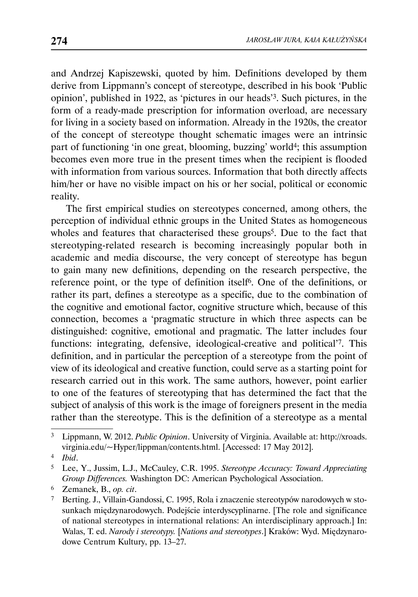and Andrzej Kapiszewski, quoted by him. Definitions developed by them derive from Lippmann's concept of stereotype, described in his book 'Public opinion', published in 1922, as 'pictures in our heads'3. Such pictures, in the form of a ready-made prescription for information overload, are necessary for living in a society based on information. Already in the 1920s, the creator of the concept of stereotype thought schematic images were an intrinsic part of functioning 'in one great, blooming, buzzing' world<sup>4</sup>; this assumption becomes even more true in the present times when the recipient is flooded with information from various sources. Information that both directly affects him/her or have no visible impact on his or her social, political or economic reality.

The first empirical studies on stereotypes concerned, among others, the perception of individual ethnic groups in the United States as homogeneous wholes and features that characterised these groups<sup>5</sup>. Due to the fact that stereotyping-related research is becoming increasingly popular both in academic and media discourse, the very concept of stereotype has begun to gain many new definitions, depending on the research perspective, the reference point, or the type of definition itself6. One of the definitions, or rather its part, defines a stereotype as a specific, due to the combination of the cognitive and emotional factor, cognitive structure which, because of this connection, becomes a 'pragmatic structure in which three aspects can be distinguished: cognitive, emotional and pragmatic. The latter includes four functions: integrating, defensive, ideological-creative and political'7. This definition, and in particular the perception of a stereotype from the point of view of its ideological and creative function, could serve as a starting point for research carried out in this work. The same authors, however, point earlier to one of the features of stereotyping that has determined the fact that the subject of analysis of this work is the image of foreigners present in the media rather than the stereotype. This is the definition of a stereotype as a mental

<sup>3</sup> Lippmann, W. 2012. *Public Opinion*. University of Virginia. Available at: http://xroads. virginia.edu/~Hyper/lippman/contents.html. [Accessed: 17 May 2012].

<sup>4</sup> *Ibid*.

<sup>5</sup> Lee, Y., Jussim, L.J., McCauley, C.R. 1995. *Stereotype Accuracy: Toward Appreciating Group Differences.* Washington DC: American Psychological Association.

<sup>6</sup> Zemanek, B., *op. cit*.

<sup>7</sup> Berting. J., Villain-Gandossi, C. 1995, Rola i znaczenie stereotypów narodowych w stosunkach międzynarodowych. Podejście interdyscyplinarne. [The role and significance of national stereotypes in international relations: An interdisciplinary approach.] In: Walas, T. ed. *Narody i stereotypy.* [*Nations and stereotypes*.] Kraków: Wyd. Międzynarodowe Centrum Kultury, pp. 13–27.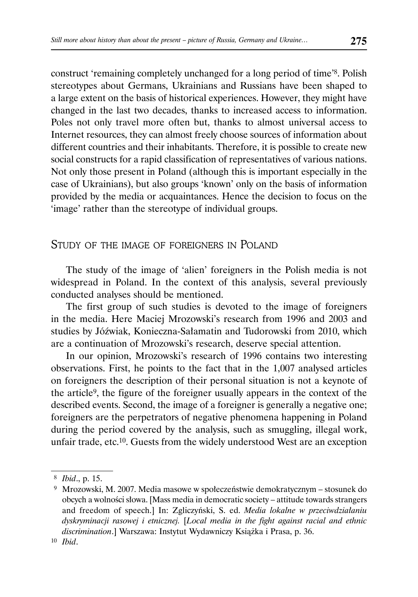construct 'remaining completely unchanged for a long period of time'8. Polish stereotypes about Germans, Ukrainians and Russians have been shaped to a large extent on the basis of historical experiences. However, they might have changed in the last two decades, thanks to increased access to information. Poles not only travel more often but, thanks to almost universal access to Internet resources, they can almost freely choose sources of information about different countries and their inhabitants. Therefore, it is possible to create new social constructs for a rapid classification of representatives of various nations. Not only those present in Poland (although this is important especially in the case of Ukrainians), but also groups 'known' only on the basis of information provided by the media or acquaintances. Hence the decision to focus on the 'image' rather than the stereotype of individual groups.

# STUDY OF THE IMAGE OF FOREIGNERS IN POLAND

The study of the image of 'alien' foreigners in the Polish media is not widespread in Poland. In the context of this analysis, several previously conducted analyses should be mentioned.

The first group of such studies is devoted to the image of foreigners in the media. Here Maciej Mrozowski's research from 1996 and 2003 and studies by Jóźwiak, Konieczna-Sałamatin and Tudorowski from 2010, which are a continuation of Mrozowski's research, deserve special attention.

In our opinion, Mrozowski's research of 1996 contains two interesting observations. First, he points to the fact that in the 1,007 analysed articles on foreigners the description of their personal situation is not a keynote of the article9, the figure of the foreigner usually appears in the context of the described events. Second, the image of a foreigner is generally a negative one; foreigners are the perpetrators of negative phenomena happening in Poland during the period covered by the analysis, such as smuggling, illegal work, unfair trade, etc.10. Guests from the widely understood West are an exception

<sup>8</sup> *Ibid*., p. 15.

 <sup>9</sup> Mrozowski, M. 2007. Media masowe w społeczeństwie demokratycznym – stosunek do obcych a wolności słowa. [Mass media in democratic society – attitude towards strangers and freedom of speech.] In: Zgliczyński, S. ed. *Media lokalne w przeciwdziałaniu dyskryminacji rasowej i etnicznej.* [*Local media in the fight against racial and ethnic discrimination*.] Warszawa: Instytut Wydawniczy Książka i Prasa, p. 36.

<sup>10</sup> *Ibid*.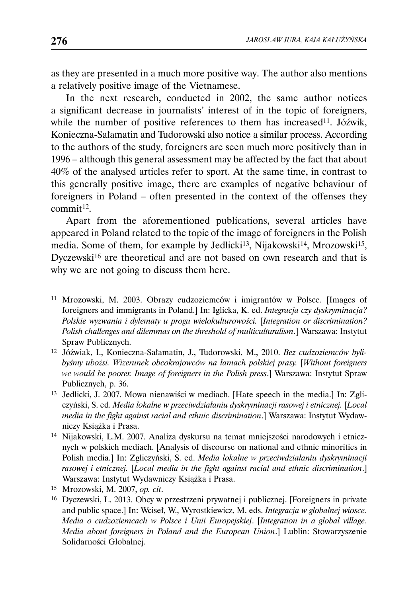as they are presented in a much more positive way. The author also mentions a relatively positive image of the Vietnamese.

In the next research, conducted in 2002, the same author notices a significant decrease in journalists' interest of in the topic of foreigners, while the number of positive references to them has increased<sup>11</sup>. Jóźwik, Konieczna-Sałamatin and Tudorowski also notice a similar process. According to the authors of the study, foreigners are seen much more positively than in 1996 – although this general assessment may be affected by the fact that about 40% of the analysed articles refer to sport. At the same time, in contrast to this generally positive image, there are examples of negative behaviour of foreigners in Poland – often presented in the context of the offenses they  $commit<sup>12</sup>$ .

Apart from the aforementioned publications, several articles have appeared in Poland related to the topic of the image of foreigners in the Polish media. Some of them, for example by Jedlicki<sup>13</sup>, Nijakowski<sup>14</sup>, Mrozowski<sup>15</sup>, Dyczewski16 are theoretical and are not based on own research and that is why we are not going to discuss them here.

<sup>11</sup> Mrozowski, M. 2003. Obrazy cudzoziemców i imigrantów w Polsce. [Images of foreigners and immigrants in Poland.] In: Iglicka, K. ed. *Integracja czy dyskryminacja? Polskie wyzwania i dylematy u progu wielokulturowości.* [*Integration or discrimination? Polish challenges and dilemmas on the threshold of multiculturalism*.] Warszawa: Instytut Spraw Publicznych.

<sup>12</sup> Jóźwiak, I., Konieczna-Sałamatin, J., Tudorowski, M., 2010. *Bez cudzoziemców bylibyśmy ubożsi. Wizerunek obcokrajowców na łamach polskiej prasy.* [*Without foreigners we would be poorer. Image of foreigners in the Polish press*.] Warszawa: Instytut Spraw Publicznych, p. 36.

<sup>13</sup> Jedlicki, J. 2007. Mowa nienawiści w mediach. [Hate speech in the media.] In: Zgliczyński, S. ed. *Media lokalne w przeciwdziałaniu dyskryminacji rasowej i etnicznej.* [*Local media in the fight against racial and ethnic discrimination*.] Warszawa: Instytut Wydawniczy Książka i Prasa.

<sup>14</sup> Nijakowski, L.M. 2007. Analiza dyskursu na temat mniejszości narodowych i etnicznych w polskich mediach. [Analysis of discourse on national and ethnic minorities in Polish media.] In: Zgliczyński, S. ed. *Media lokalne w przeciwdziałaniu dyskryminacji rasowej i etnicznej.* [*Local media in the fight against racial and ethnic discrimination*.] Warszawa: Instytut Wydawniczy Książka i Prasa.

<sup>15</sup> Mrozowski, M. 2007, *op. cit*.

<sup>16</sup> Dyczewski, L. 2013. Obcy w przestrzeni prywatnej i publicznej. [Foreigners in private and public space.] In: Wciseł, W., Wyrostkiewicz, M. eds. *Integracja w globalnej wiosce. Media o cudzoziemcach w Polsce i Unii Europejskiej*. [*Integration in a global village. Media about foreigners in Poland and the European Union*.] Lublin: Stowarzyszenie Solidarności Globalnej.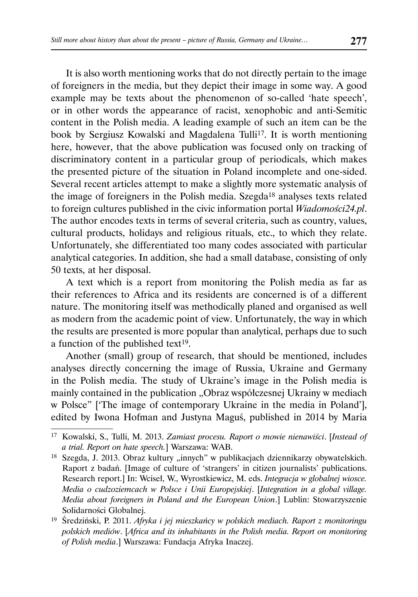It is also worth mentioning works that do not directly pertain to the image of foreigners in the media, but they depict their image in some way. A good example may be texts about the phenomenon of so-called 'hate speech', or in other words the appearance of racist, xenophobic and anti-Semitic content in the Polish media. A leading example of such an item can be the book by Sergiusz Kowalski and Magdalena Tulli<sup>17</sup>. It is worth mentioning here, however, that the above publication was focused only on tracking of discriminatory content in a particular group of periodicals, which makes the presented picture of the situation in Poland incomplete and one-sided. Several recent articles attempt to make a slightly more systematic analysis of the image of foreigners in the Polish media. Szegda18 analyses texts related to foreign cultures published in the civic information portal *Wiadomości24.pl*. The author encodes texts in terms of several criteria, such as country, values, cultural products, holidays and religious rituals, etc., to which they relate. Unfortunately, she differentiated too many codes associated with particular analytical categories. In addition, she had a small database, consisting of only 50 texts, at her disposal.

A text which is a report from monitoring the Polish media as far as their references to Africa and its residents are concerned is of a different nature. The monitoring itself was methodically planed and organised as well as modern from the academic point of view. Unfortunately, the way in which the results are presented is more popular than analytical, perhaps due to such a function of the published text<sup>19</sup>.

Another (small) group of research, that should be mentioned, includes analyses directly concerning the image of Russia, Ukraine and Germany in the Polish media. The study of Ukraine's image in the Polish media is mainly contained in the publication "Obraz współczesnej Ukrainy w mediach w Polsce" ['The image of contemporary Ukraine in the media in Poland'], edited by Iwona Hofman and Justyna Maguś, published in 2014 by Maria

<sup>17</sup> Kowalski, S., Tulli, M. 2013. *Zamiast procesu. Raport o mowie nienawiści*. [*Instead of a trial. Report on hate speech.*] Warszawa: WAB.

<sup>&</sup>lt;sup>18</sup> Szegda, J. 2013. Obraz kultury "innych" w publikacjach dziennikarzy obywatelskich. Raport z badań. [Image of culture of 'strangers' in citizen journalists' publications. Research report.] In: Wciseł, W., Wyrostkiewicz, M. eds. *Integracja w globalnej wiosce. Media o cudzoziemcach w Polsce i Unii Europejskiej*. [*Integration in a global village. Media about foreigners in Poland and the European Union*.] Lublin: Stowarzyszenie Solidarności Globalnej.

<sup>19</sup> Średziński, P. 2011. *Afryka i jej mieszkańcy w polskich mediach. Raport z monitoringu polskich mediów*. [*Africa and its inhabitants in the Polish media. Report on monitoring of Polish media*.] Warszawa: Fundacja Afryka Inaczej.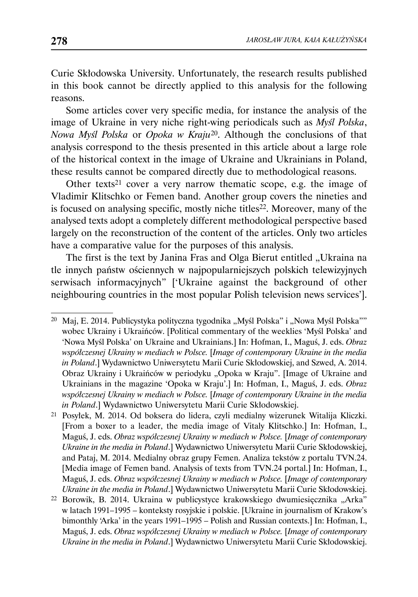Curie Skłodowska University. Unfortunately, the research results published in this book cannot be directly applied to this analysis for the following reasons.

Some articles cover very specific media, for instance the analysis of the image of Ukraine in very niche right-wing periodicals such as *Myśl Polska*, *Nowa Myśl Polska* or *Opoka w Kraju*20. Although the conclusions of that analysis correspond to the thesis presented in this article about a large role of the historical context in the image of Ukraine and Ukrainians in Poland, these results cannot be compared directly due to methodological reasons.

Other texts<sup>21</sup> cover a very narrow thematic scope, e.g. the image of Vladimir Klitschko or Femen band. Another group covers the nineties and is focused on analysing specific, mostly niche titles<sup>22</sup>. Moreover, many of the analysed texts adopt a completely different methodological perspective based largely on the reconstruction of the content of the articles. Only two articles have a comparative value for the purposes of this analysis.

The first is the text by Janina Fras and Olga Bierut entitled "Ukraina na tle innych państw ościennych w najpopularniejszych polskich telewizyjnych serwisach informacyjnych" ['Ukraine against the background of other neighbouring countries in the most popular Polish television news services'].

<sup>&</sup>lt;sup>20</sup> Maj, E. 2014. Publicystyka polityczna tygodnika "Myśl Polska" i "Nowa Myśl Polska"" wobec Ukrainy i Ukraińców. [Political commentary of the weeklies 'Myśl Polska' and 'Nowa Myśl Polska' on Ukraine and Ukrainians.] In: Hofman, I., Maguś, J. eds. *Obraz współczesnej Ukrainy w mediach w Polsce.* [*Image of contemporary Ukraine in the media in Poland*.] Wydawnictwo Uniwersytetu Marii Curie Skłodowskiej, and Szwed, A. 2014. Obraz Ukrainy i Ukraińców w periodyku "Opoka w Kraju". [Image of Ukraine and Ukrainians in the magazine 'Opoka w Kraju'.] In: Hofman, I., Maguś, J. eds. *Obraz współczesnej Ukrainy w mediach w Polsce.* [*Image of contemporary Ukraine in the media in Poland*.] Wydawnictwo Uniwersytetu Marii Curie Skłodowskiej.

<sup>21</sup> Posyłek, M. 2014. Od boksera do lidera, czyli medialny wizerunek Witalija Kliczki. [From a boxer to a leader, the media image of Vitaly Klitschko.] In: Hofman, I., Maguś, J. eds. *Obraz współczesnej Ukrainy w mediach w Polsce.* [*Image of contemporary Ukraine in the media in Poland*.] Wydawnictwo Uniwersytetu Marii Curie Skłodowskiej, and Pataj, M. 2014. Medialny obraz grupy Femen. Analiza tekstów z portalu TVN.24. [Media image of Femen band. Analysis of texts from TVN.24 portal.] In: Hofman, I., Maguś, J. eds. *Obraz współczesnej Ukrainy w mediach w Polsce.* [*Image of contemporary Ukraine in the media in Poland*.] Wydawnictwo Uniwersytetu Marii Curie Skłodowskiej.

<sup>&</sup>lt;sup>22</sup> Borowik, B. 2014. Ukraina w publicystyce krakowskiego dwumiesięcznika "Arka" w latach 1991–1995 – konteksty rosyjskie i polskie. [Ukraine in journalism of Krakow's bimonthly 'Arka' in the years 1991–1995 – Polish and Russian contexts.] In: Hofman, I., Maguś, J. eds. *Obraz współczesnej Ukrainy w mediach w Polsce.* [*Image of contemporary Ukraine in the media in Poland*.] Wydawnictwo Uniwersytetu Marii Curie Skłodowskiej.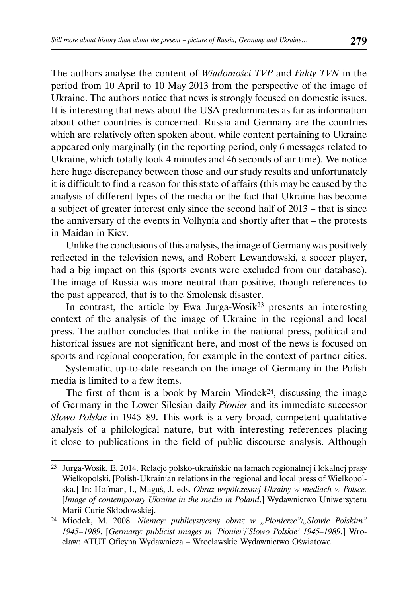The authors analyse the content of *Wiadomości TVP* and *Fakty TVN* in the period from 10 April to 10 May 2013 from the perspective of the image of Ukraine. The authors notice that news is strongly focused on domestic issues. It is interesting that news about the USA predominates as far as information about other countries is concerned. Russia and Germany are the countries which are relatively often spoken about, while content pertaining to Ukraine appeared only marginally (in the reporting period, only 6 messages related to Ukraine, which totally took 4 minutes and 46 seconds of air time). We notice here huge discrepancy between those and our study results and unfortunately it is difficult to find a reason for this state of affairs (this may be caused by the analysis of different types of the media or the fact that Ukraine has become a subject of greater interest only since the second half of 2013 – that is since the anniversary of the events in Volhynia and shortly after that – the protests in Maidan in Kiev.

Unlike the conclusions of this analysis, the image of Germany was positively reflected in the television news, and Robert Lewandowski, a soccer player, had a big impact on this (sports events were excluded from our database). The image of Russia was more neutral than positive, though references to the past appeared, that is to the Smolensk disaster.

In contrast, the article by Ewa Jurga-Wosik<sup>23</sup> presents an interesting context of the analysis of the image of Ukraine in the regional and local press. The author concludes that unlike in the national press, political and historical issues are not significant here, and most of the news is focused on sports and regional cooperation, for example in the context of partner cities.

Systematic, up-to-date research on the image of Germany in the Polish media is limited to a few items.

The first of them is a book by Marcin Miodek<sup>24</sup>, discussing the image of Germany in the Lower Silesian daily *Pionier* and its immediate successor *Słowo Polskie* in 1945–89. This work is a very broad, competent qualitative analysis of a philological nature, but with interesting references placing it close to publications in the field of public discourse analysis. Although

<sup>23</sup> Jurga-Wosik, E. 2014. Relacje polsko-ukraińskie na łamach regionalnej i lokalnej prasy Wielkopolski. [Polish-Ukrainian relations in the regional and local press of Wielkopolska.] In: Hofman, I., Maguś, J. eds. *Obraz współczesnej Ukrainy w mediach w Polsce.*  [*Image of contemporary Ukraine in the media in Poland*.] Wydawnictwo Uniwersytetu Marii Curie Skłodowskiej.

<sup>&</sup>lt;sup>24</sup> Miodek, M. 2008. *Niemcy: publicystyczny obraz w "Pionierze"/"Słowie Polskim" 1945 – 1989*. [*Germany: publicist images in 'Pionier'/'Słowo Polskie' 1945–1989*.] Wrocław: ATUT Oficyna Wydawnicza – Wrocławskie Wydawnictwo Oświatowe.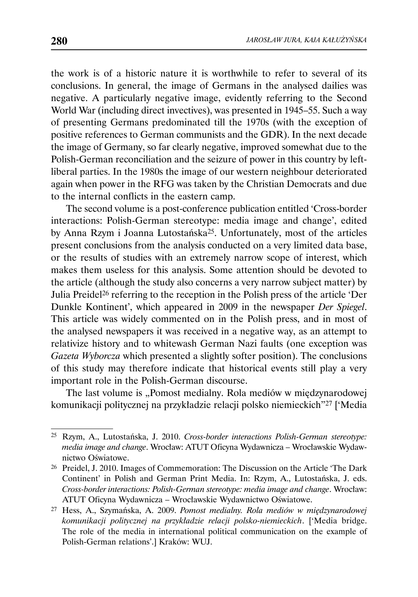the work is of a historic nature it is worthwhile to refer to several of its conclusions. In general, the image of Germans in the analysed dailies was negative. A particularly negative image, evidently referring to the Second World War (including direct invectives), was presented in 1945–55. Such a way of presenting Germans predominated till the 1970s (with the exception of positive references to German communists and the GDR). In the next decade the image of Germany, so far clearly negative, improved somewhat due to the Polish-German reconciliation and the seizure of power in this country by leftliberal parties. In the 1980s the image of our western neighbour deteriorated again when power in the RFG was taken by the Christian Democrats and due to the internal conflicts in the eastern camp.

The second volume is a post-conference publication entitled 'Cross-border interactions: Polish-German stereotype: media image and change', edited by Anna Rzym i Joanna Lutostańska25. Unfortunately, most of the articles present conclusions from the analysis conducted on a very limited data base, or the results of studies with an extremely narrow scope of interest, which makes them useless for this analysis. Some attention should be devoted to the article (although the study also concerns a very narrow subject matter) by Julia Preidel26 referring to the reception in the Polish press of the article 'Der Dunkle Kontinent', which appeared in 2009 in the newspaper *Der Spiegel*. This article was widely commented on in the Polish press, and in most of the analysed newspapers it was received in a negative way, as an attempt to relativize history and to whitewash German Nazi faults (one exception was *Gazeta Wyborcza* which presented a slightly softer position). The conclusions of this study may therefore indicate that historical events still play a very important role in the Polish-German discourse.

The last volume is "Pomost medialny. Rola mediów w międzynarodowej komunikacji politycznej na przykładzie relacji polsko niemieckich"27 ['Media

<sup>25</sup> Rzym, A., Lutostańska, J. 2010. *Cross-border interactions Polish-German stereotype: media image and change*. Wrocław: ATUT Oficyna Wydawnicza – Wrocławskie Wydawnictwo Oświatowe.

<sup>26</sup> Preidel, J. 2010. Images of Commemoration: The Discussion on the Article 'The Dark Continent' in Polish and German Print Media. In: Rzym, A., Lutostańska, J. eds. *Cross-border interactions: Polish-German stereotype: media image and change*. Wrocław: ATUT Oficyna Wydawnicza – Wrocławskie Wydawnictwo Oświatowe.

<sup>27</sup> Hess, A., Szymańska, A. 2009. *Pomost medialny. Rola mediów w międzynarodowej komunikacji politycznej na przykładzie relacji polsko-niemieckich*. ['Media bridge. The role of the media in international political communication on the example of Polish-German relations'.] Kraków: WUJ.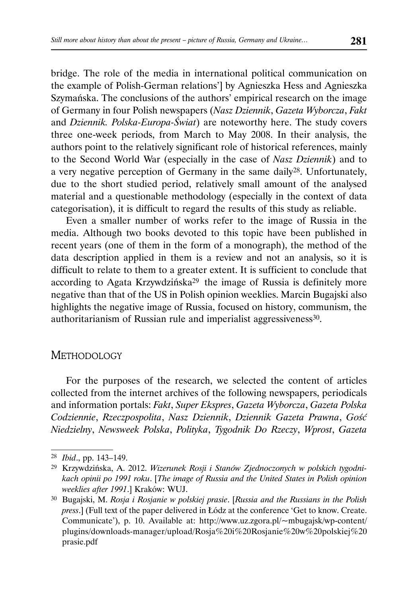bridge. The role of the media in international political communication on the example of Polish-German relations'] by Agnieszka Hess and Agnieszka Szymańska. The conclusions of the authors' empirical research on the image of Germany in four Polish newspapers (*Nasz Dziennik*, *Gazeta Wyborcza*, *Fakt* and *Dziennik. Polska-Europa-Świat*) are noteworthy here. The study covers three one-week periods, from March to May 2008. In their analysis, the authors point to the relatively significant role of historical references, mainly to the Second World War (especially in the case of *Nasz Dziennik*) and to a very negative perception of Germany in the same daily28. Unfortunately, due to the short studied period, relatively small amount of the analysed material and a questionable methodology (especially in the context of data categorisation), it is difficult to regard the results of this study as reliable.

Even a smaller number of works refer to the image of Russia in the media. Although two books devoted to this topic have been published in recent years (one of them in the form of a monograph), the method of the data description applied in them is a review and not an analysis, so it is difficult to relate to them to a greater extent. It is sufficient to conclude that according to Agata Krzywdzińska<sup>29</sup> the image of Russia is definitely more negative than that of the US in Polish opinion weeklies. Marcin Bugajski also highlights the negative image of Russia, focused on history, communism, the authoritarianism of Russian rule and imperialist aggressiveness<sup>30</sup>.

# **METHODOLOGY**

For the purposes of the research, we selected the content of articles collected from the internet archives of the following newspapers, periodicals and information portals: *Fakt*, *Super Ekspres*, *Gazeta Wyborcza*, *Gazeta Polska Codziennie*, *Rzeczpospolita*, *Nasz Dziennik*, *Dziennik Gazeta Prawna*, *Gość Niedzielny*, *Newsweek Polska*, *Polityka*, *Tygodnik Do Rzeczy*, *Wprost*, *Gazeta* 

<sup>28</sup> *Ibid*., pp. 143–149.

<sup>29</sup> Krzywdzińska, A. 2012. *Wizerunek Rosji i Stanów Zjednoczonych w polskich tygodnikach opinii po 1991 roku*. [*The image of Russia and the United States in Polish opinion weeklies after 1991*.] Kraków: WUJ.

<sup>30</sup> Bugajski, M. *Rosja i Rosjanie w polskiej prasie*. [*Russia and the Russians in the Polish press*.] (Full text of the paper delivered in Łódz at the conference 'Get to know. Create. Communicate'), p. 10. Available at: http://www.uz.zgora.pl/~mbugajsk/wp-content/ plugins/downloads-manager/upload/Rosja%20i%20Rosjanie%20w%20polskiej%20 prasie.pdf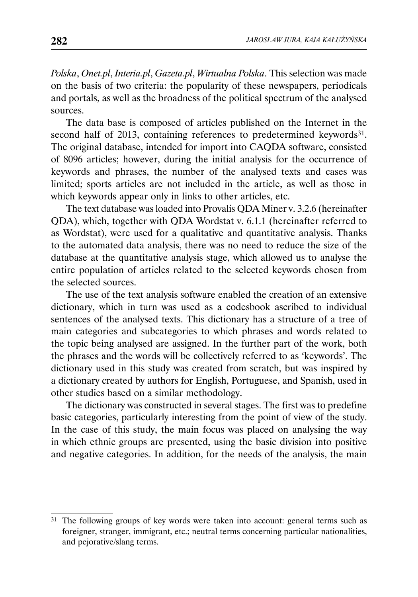*Polska*, *Onet.pl*, *Interia.pl*, *Gazeta.pl*, *Wirtualna Polska*. This selection was made on the basis of two criteria: the popularity of these newspapers, periodicals and portals, as well as the broadness of the political spectrum of the analysed sources.

The data base is composed of articles published on the Internet in the second half of 2013, containing references to predetermined keywords<sup>31</sup>. The original database, intended for import into CAQDA software, consisted of 8096 articles; however, during the initial analysis for the occurrence of keywords and phrases, the number of the analysed texts and cases was limited; sports articles are not included in the article, as well as those in which keywords appear only in links to other articles, etc.

The text database was loaded into Provalis QDA Miner v. 3.2.6 (hereinafter QDA), which, together with QDA Wordstat v. 6.1.1 (hereinafter referred to as Wordstat), were used for a qualitative and quantitative analysis. Thanks to the automated data analysis, there was no need to reduce the size of the database at the quantitative analysis stage, which allowed us to analyse the entire population of articles related to the selected keywords chosen from the selected sources.

The use of the text analysis software enabled the creation of an extensive dictionary, which in turn was used as a codesbook ascribed to individual sentences of the analysed texts. This dictionary has a structure of a tree of main categories and subcategories to which phrases and words related to the topic being analysed are assigned. In the further part of the work, both the phrases and the words will be collectively referred to as 'keywords'. The dictionary used in this study was created from scratch, but was inspired by a dictionary created by authors for English, Portuguese, and Spanish, used in other studies based on a similar methodology.

The dictionary was constructed in several stages. The first was to predefine basic categories, particularly interesting from the point of view of the study. In the case of this study, the main focus was placed on analysing the way in which ethnic groups are presented, using the basic division into positive and negative categories. In addition, for the needs of the analysis, the main

<sup>31</sup> The following groups of key words were taken into account: general terms such as foreigner, stranger, immigrant, etc.; neutral terms concerning particular nationalities, and pejorative/slang terms.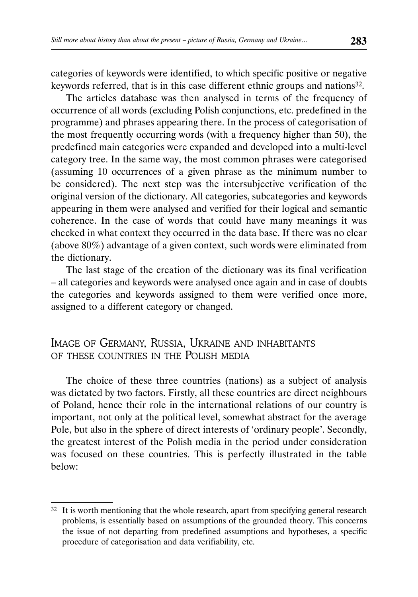categories of keywords were identified, to which specific positive or negative keywords referred, that is in this case different ethnic groups and nations32.

The articles database was then analysed in terms of the frequency of occurrence of all words (excluding Polish conjunctions, etc. predefined in the programme) and phrases appearing there. In the process of categorisation of the most frequently occurring words (with a frequency higher than 50), the predefined main categories were expanded and developed into a multi-level category tree. In the same way, the most common phrases were categorised (assuming 10 occurrences of a given phrase as the minimum number to be considered). The next step was the intersubjective verification of the original version of the dictionary. All categories, subcategories and keywords appearing in them were analysed and verified for their logical and semantic coherence. In the case of words that could have many meanings it was checked in what context they occurred in the data base. If there was no clear (above 80%) advantage of a given context, such words were eliminated from the dictionary.

The last stage of the creation of the dictionary was its final verification – all categories and keywords were analysed once again and in case of doubts the categories and keywords assigned to them were verified once more, assigned to a different category or changed.

# IMAGE OF GERMANY, RUSSIA, UKRAINE AND INHABITANTS OF THESE COUNTRIES IN THE POLISH MEDIA

The choice of these three countries (nations) as a subject of analysis was dictated by two factors. Firstly, all these countries are direct neighbours of Poland, hence their role in the international relations of our country is important, not only at the political level, somewhat abstract for the average Pole, but also in the sphere of direct interests of 'ordinary people'. Secondly, the greatest interest of the Polish media in the period under consideration was focused on these countries. This is perfectly illustrated in the table below:

<sup>&</sup>lt;sup>32</sup> It is worth mentioning that the whole research, apart from specifying general research problems, is essentially based on assumptions of the grounded theory. This concerns the issue of not departing from predefined assumptions and hypotheses, a specific procedure of categorisation and data verifiability, etc.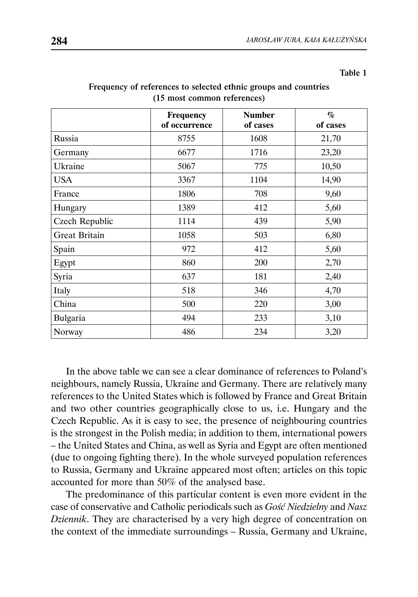| anıe |  |
|------|--|
|------|--|

|                      | <b>Frequency</b><br>of occurrence | <b>Number</b><br>of cases | $\mathcal{G}_0$<br>of cases |
|----------------------|-----------------------------------|---------------------------|-----------------------------|
| Russia               | 8755                              | 1608                      | 21,70                       |
| Germany              | 6677                              | 1716                      | 23,20                       |
| Ukraine              | 5067                              | 775                       | 10,50                       |
| <b>USA</b>           | 3367                              | 1104                      | 14,90                       |
| France               | 1806                              | 708                       | 9,60                        |
| Hungary              | 1389                              | 412                       | 5,60                        |
| Czech Republic       | 1114                              | 439                       | 5,90                        |
| <b>Great Britain</b> | 1058                              | 503                       | 6,80                        |
| Spain                | 972                               | 412                       | 5,60                        |
| Egypt                | 860                               | 200                       | 2,70                        |
| Syria                | 637                               | 181                       | 2,40                        |
| Italy                | 518                               | 346                       | 4,70                        |
| China                | 500                               | 220                       | 3,00                        |
| Bulgaria             | 494                               | 233                       | 3,10                        |
| Norway               | 486                               | 234                       | 3,20                        |

#### Frequency of references to selected ethnic groups and countries (15 most common references)

In the above table we can see a clear dominance of references to Poland's neighbours, namely Russia, Ukraine and Germany. There are relatively many references to the United States which is followed by France and Great Britain and two other countries geographically close to us, i.e. Hungary and the Czech Republic. As it is easy to see, the presence of neighbouring countries is the strongest in the Polish media; in addition to them, international powers – the United States and China, as well as Syria and Egypt are often mentioned (due to ongoing fighting there). In the whole surveyed population references to Russia, Germany and Ukraine appeared most often; articles on this topic accounted for more than 50% of the analysed base.

The predominance of this particular content is even more evident in the case of conservative and Catholic periodicals such as *Gość Niedzielny* and *Nasz Dziennik*. They are characterised by a very high degree of concentration on the context of the immediate surroundings – Russia, Germany and Ukraine,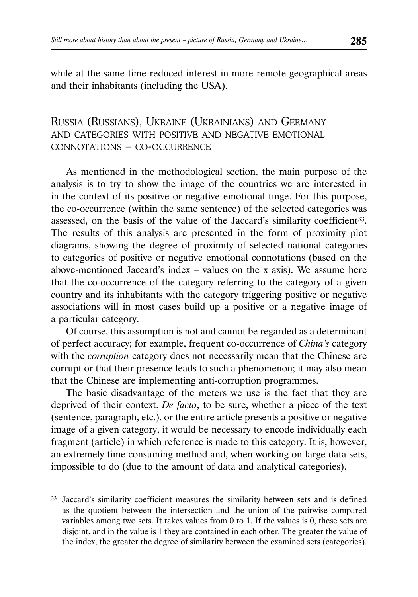while at the same time reduced interest in more remote geographical areas and their inhabitants (including the USA).

# RUSSIA (RUSSIANS), UKRAINE (UKRAINIANS) AND GERMANY AND CATEGORIES WITH POSITIVE AND NEGATIVE EMOTIONAL CONNOTATIONS – CO-OCCURRENCE

As mentioned in the methodological section, the main purpose of the analysis is to try to show the image of the countries we are interested in in the context of its positive or negative emotional tinge. For this purpose, the co-occurrence (within the same sentence) of the selected categories was assessed, on the basis of the value of the Jaccard's similarity coefficient<sup>33</sup>. The results of this analysis are presented in the form of proximity plot diagrams, showing the degree of proximity of selected national categories to categories of positive or negative emotional connotations (based on the above-mentioned Jaccard's index – values on the x axis). We assume here that the co-occurrence of the category referring to the category of a given country and its inhabitants with the category triggering positive or negative associations will in most cases build up a positive or a negative image of a particular category.

Of course, this assumption is not and cannot be regarded as a determinant of perfect accuracy; for example, frequent co-occurrence of *China's* category with the *corruption* category does not necessarily mean that the Chinese are corrupt or that their presence leads to such a phenomenon; it may also mean that the Chinese are implementing anti-corruption programmes.

The basic disadvantage of the meters we use is the fact that they are deprived of their context. *De facto*, to be sure, whether a piece of the text (sentence, paragraph, etc.), or the entire article presents a positive or negative image of a given category, it would be necessary to encode individually each fragment (article) in which reference is made to this category. It is, however, an extremely time consuming method and, when working on large data sets, impossible to do (due to the amount of data and analytical categories).

<sup>33</sup> Jaccard's similarity coefficient measures the similarity between sets and is defined as the quotient between the intersection and the union of the pairwise compared variables among two sets. It takes values from 0 to 1. If the values is 0, these sets are disjoint, and in the value is 1 they are contained in each other. The greater the value of the index, the greater the degree of similarity between the examined sets (categories).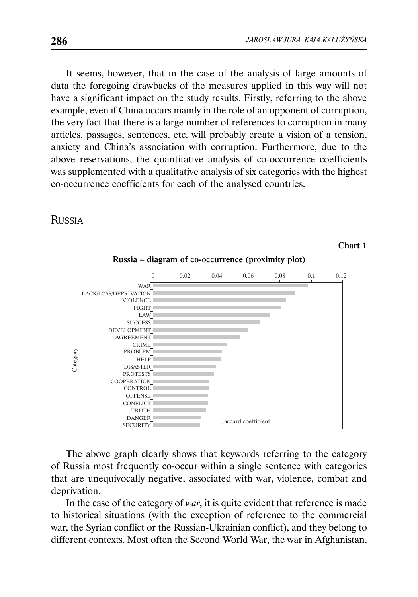Chart 1

It seems, however, that in the case of the analysis of large amounts of data the foregoing drawbacks of the measures applied in this way will not have a significant impact on the study results. Firstly, referring to the above example, even if China occurs mainly in the role of an opponent of corruption, the very fact that there is a large number of references to corruption in many articles, passages, sentences, etc. will probably create a vision of a tension, anxiety and China's association with corruption. Furthermore, due to the above reservations, the quantitative analysis of co-occurrence coefficients was supplemented with a qualitative analysis of six categories with the highest co-occurrence coefficients for each of the analysed countries.

## RUSSIA



Russia – diagram of co-occurrence (proximity plot)

The above graph clearly shows that keywords referring to the category of Russia most frequently co-occur within a single sentence with categories that are unequivocally negative, associated with war, violence, combat and deprivation.

In the case of the category of *war*, it is quite evident that reference is made to historical situations (with the exception of reference to the commercial war, the Syrian conflict or the Russian-Ukrainian conflict), and they belong to different contexts. Most often the Second World War, the war in Afghanistan,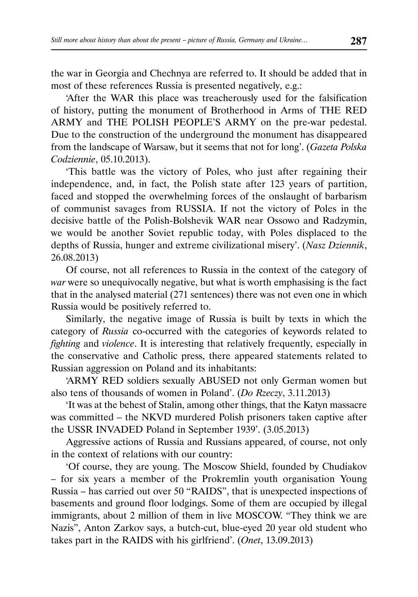the war in Georgia and Chechnya are referred to. It should be added that in most of these references Russia is presented negatively, e.g.:

'After the WAR this place was treacherously used for the falsification of history, putting the monument of Brotherhood in Arms of THE RED ARMY and THE POLISH PEOPLE'S ARMY on the pre-war pedestal. Due to the construction of the underground the monument has disappeared from the landscape of Warsaw, but it seems that not for long'. (*Gazeta Polska Codziennie*, 05.10.2013).

'This battle was the victory of Poles, who just after regaining their independence, and, in fact, the Polish state after 123 years of partition, faced and stopped the overwhelming forces of the onslaught of barbarism of communist savages from RUSSIA. If not the victory of Poles in the decisive battle of the Polish-Bolshevik WAR near Ossowo and Radzymin, we would be another Soviet republic today, with Poles displaced to the depths of Russia, hunger and extreme civilizational misery'. (*Nasz Dziennik*, 26.08.2013)

Of course, not all references to Russia in the context of the category of *war* were so unequivocally negative, but what is worth emphasising is the fact that in the analysed material (271 sentences) there was not even one in which Russia would be positively referred to.

Similarly, the negative image of Russia is built by texts in which the category of *Russia* co-occurred with the categories of keywords related to *fighting* and *violence*. It is interesting that relatively frequently, especially in the conservative and Catholic press, there appeared statements related to Russian aggression on Poland and its inhabitants:

'ARMY RED soldiers sexually ABUSED not only German women but also tens of thousands of women in Poland'. (*Do Rzeczy*, 3.11.2013)

'It was at the behest of Stalin, among other things, that the Katyn massacre was committed – the NKVD murdered Polish prisoners taken captive after the USSR INVADED Poland in September 1939'. (3.05.2013)

Aggressive actions of Russia and Russians appeared, of course, not only in the context of relations with our country:

'Of course, they are young. The Moscow Shield, founded by Chudiakov – for six years a member of the Prokremlin youth organisation Young Russia – has carried out over 50 "RAIDS", that is unexpected inspections of basements and ground floor lodgings. Some of them are occupied by illegal immigrants, about 2 million of them in live MOSCOW. "They think we are Nazis", Anton Zarkov says, a butch-cut, blue-eyed 20 year old student who takes part in the RAIDS with his girlfriend'. (*Onet*, 13.09.2013)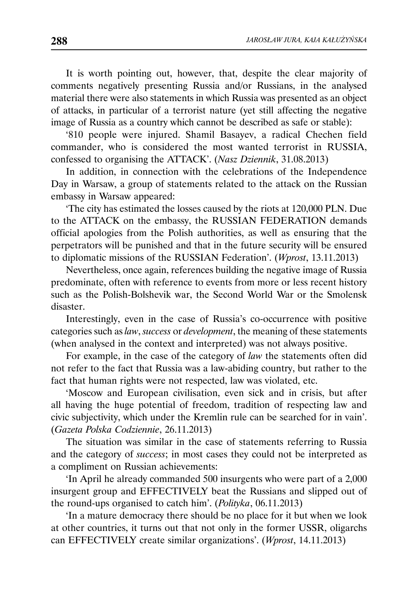It is worth pointing out, however, that, despite the clear majority of comments negatively presenting Russia and/or Russians, in the analysed material there were also statements in which Russia was presented as an object of attacks, in particular of a terrorist nature (yet still affecting the negative image of Russia as a country which cannot be described as safe or stable):

'810 people were injured. Shamil Basayev, a radical Chechen field commander, who is considered the most wanted terrorist in RUSSIA, confessed to organising the ATTACK'. (*Nasz Dziennik*, 31.08.2013)

In addition, in connection with the celebrations of the Independence Day in Warsaw, a group of statements related to the attack on the Russian embassy in Warsaw appeared:

'The city has estimated the losses caused by the riots at 120,000 PLN. Due to the ATTACK on the embassy, the RUSSIAN FEDERATION demands official apologies from the Polish authorities, as well as ensuring that the perpetrators will be punished and that in the future security will be ensured to diplomatic missions of the RUSSIAN Federation'. (*Wprost*, 13.11.2013)

Nevertheless, once again, references building the negative image of Russia predominate, often with reference to events from more or less recent history such as the Polish-Bolshevik war, the Second World War or the Smolensk disaster.

Interestingly, even in the case of Russia's co-occurrence with positive categories such as *law*, *success* or *development*, the meaning of these statements (when analysed in the context and interpreted) was not always positive.

For example, in the case of the category of *law* the statements often did not refer to the fact that Russia was a law-abiding country, but rather to the fact that human rights were not respected, law was violated, etc.

'Moscow and European civilisation, even sick and in crisis, but after all having the huge potential of freedom, tradition of respecting law and civic subjectivity, which under the Kremlin rule can be searched for in vain'. (*Gazeta Polska Codziennie*, 26.11.2013)

The situation was similar in the case of statements referring to Russia and the category of *success*; in most cases they could not be interpreted as a compliment on Russian achievements:

'In April he already commanded 500 insurgents who were part of a 2,000 insurgent group and EFFECTIVELY beat the Russians and slipped out of the round-ups organised to catch him'. (*Polityka*, 06.11.2013)

'In a mature democracy there should be no place for it but when we look at other countries, it turns out that not only in the former USSR, oligarchs can EFFECTIVELY create similar organizations'. (*Wprost*, 14.11.2013)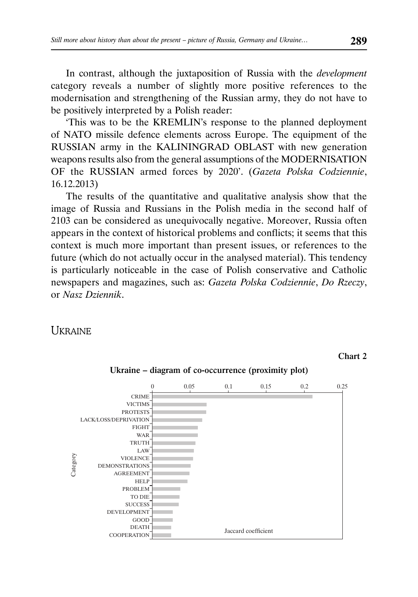In contrast, although the juxtaposition of Russia with the *development* category reveals a number of slightly more positive references to the modernisation and strengthening of the Russian army, they do not have to be positively interpreted by a Polish reader:

'This was to be the KREMLIN's response to the planned deployment of NATO missile defence elements across Europe. The equipment of the RUSSIAN army in the KALININGRAD OBLAST with new generation weapons results also from the general assumptions of the MODERNISATION OF the RUSSIAN armed forces by 2020'. (*Gazeta Polska Codziennie*, 16.12.2013)

The results of the quantitative and qualitative analysis show that the image of Russia and Russians in the Polish media in the second half of 2103 can be considered as unequivocally negative. Moreover, Russia often appears in the context of historical problems and conflicts; it seems that this context is much more important than present issues, or references to the future (which do not actually occur in the analysed material). This tendency is particularly noticeable in the case of Polish conservative and Catholic newspapers and magazines, such as: *Gazeta Polska Codziennie*, *Do Rzeczy*, or *Nasz Dziennik*.

## **UKRAINE**



Chart 2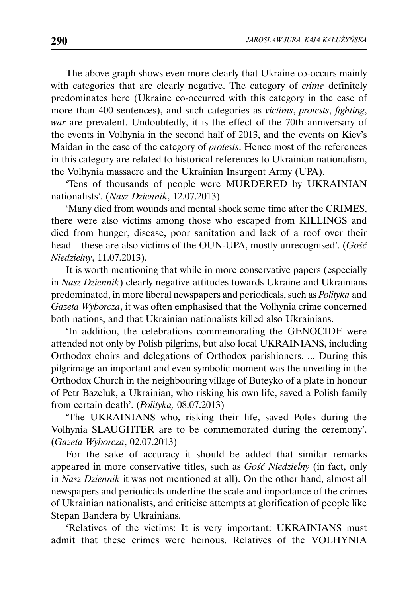The above graph shows even more clearly that Ukraine co-occurs mainly with categories that are clearly negative. The category of *crime* definitely predominates here (Ukraine co-occurred with this category in the case of more than 400 sentences), and such categories as *victims*, *protests*, *fighting*, *war* are prevalent. Undoubtedly, it is the effect of the 70th anniversary of the events in Volhynia in the second half of 2013, and the events on Kiev's Maidan in the case of the category of *protests*. Hence most of the references in this category are related to historical references to Ukrainian nationalism, the Volhynia massacre and the Ukrainian Insurgent Army (UPA).

'Tens of thousands of people were MURDERED by UKRAINIAN nationalists'. (*Nasz Dziennik*, 12.07.2013)

'Many died from wounds and mental shock some time after the CRIMES, there were also victims among those who escaped from KILLINGS and died from hunger, disease, poor sanitation and lack of a roof over their head – these are also victims of the OUN-UPA, mostly unrecognised'. (*Gość Niedzielny*, 11.07.2013).

It is worth mentioning that while in more conservative papers (especially in *Nasz Dziennik*) clearly negative attitudes towards Ukraine and Ukrainians predominated, in more liberal newspapers and periodicals, such as *Polityka* and *Gazeta Wyborcza*, it was often emphasised that the Volhynia crime concerned both nations, and that Ukrainian nationalists killed also Ukrainians.

'In addition, the celebrations commemorating the GENOCIDE were attended not only by Polish pilgrims, but also local UKRAINIANS, including Orthodox choirs and delegations of Orthodox parishioners. ... During this pilgrimage an important and even symbolic moment was the unveiling in the Orthodox Church in the neighbouring village of Buteyko of a plate in honour of Petr Bazeluk, a Ukrainian, who risking his own life, saved a Polish family from certain death'. (*Polityka,* 08.07.2013)

'The UKRAINIANS who, risking their life, saved Poles during the Volhynia SLAUGHTER are to be commemorated during the ceremony'. (*Gazeta Wyborcza*, 02.07.2013)

For the sake of accuracy it should be added that similar remarks appeared in more conservative titles, such as *Gość Niedzielny* (in fact, only in *Nasz Dziennik* it was not mentioned at all). On the other hand, almost all newspapers and periodicals underline the scale and importance of the crimes of Ukrainian nationalists, and criticise attempts at glorification of people like Stepan Bandera by Ukrainians.

'Relatives of the victims: It is very important: UKRAINIANS must admit that these crimes were heinous. Relatives of the VOLHYNIA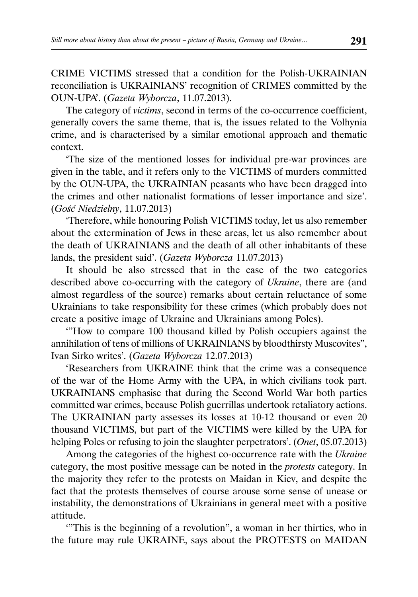CRIME VICTIMS stressed that a condition for the Polish-UKRAINIAN reconciliation is UKRAINIANS' recognition of CRIMES committed by the OUN-UPA'. (*Gazeta Wyborcza*, 11.07.2013).

The category of *victims*, second in terms of the co-occurrence coefficient, generally covers the same theme, that is, the issues related to the Volhynia crime, and is characterised by a similar emotional approach and thematic context.

'The size of the mentioned losses for individual pre-war provinces are given in the table, and it refers only to the VICTIMS of murders committed by the OUN-UPA, the UKRAINIAN peasants who have been dragged into the crimes and other nationalist formations of lesser importance and size'. (*Gość Niedzielny*, 11.07.2013)

'Therefore, while honouring Polish VICTIMS today, let us also remember about the extermination of Jews in these areas, let us also remember about the death of UKRAINIANS and the death of all other inhabitants of these lands, the president said'. (*Gazeta Wyborcza* 11.07.2013)

It should be also stressed that in the case of the two categories described above co-occurring with the category of *Ukraine*, there are (and almost regardless of the source) remarks about certain reluctance of some Ukrainians to take responsibility for these crimes (which probably does not create a positive image of Ukraine and Ukrainians among Poles).

'"How to compare 100 thousand killed by Polish occupiers against the annihilation of tens of millions of UKRAINIANS by bloodthirsty Muscovites", Ivan Sirko writes'. (*Gazeta Wyborcza* 12.07.2013)

'Researchers from UKRAINE think that the crime was a consequence of the war of the Home Army with the UPA, in which civilians took part. UKRAINIANS emphasise that during the Second World War both parties committed war crimes, because Polish guerrillas undertook retaliatory actions. The UKRAINIAN party assesses its losses at 10-12 thousand or even 20 thousand VICTIMS, but part of the VICTIMS were killed by the UPA for helping Poles or refusing to join the slaughter perpetrators'. (*Onet*, 05.07.2013)

Among the categories of the highest co-occurrence rate with the *Ukraine* category, the most positive message can be noted in the *protests* category. In the majority they refer to the protests on Maidan in Kiev, and despite the fact that the protests themselves of course arouse some sense of unease or instability, the demonstrations of Ukrainians in general meet with a positive attitude.

'"This is the beginning of a revolution", a woman in her thirties, who in the future may rule UKRAINE, says about the PROTESTS on MAIDAN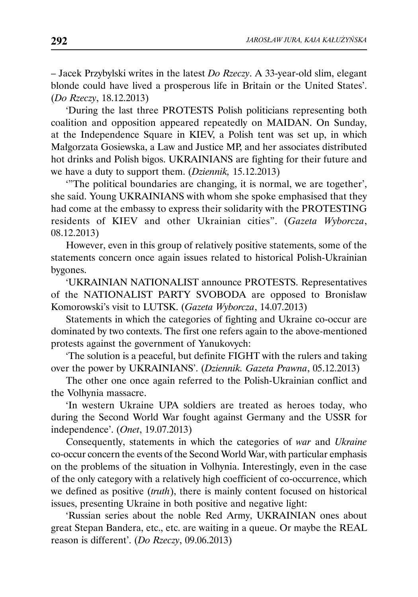– Jacek Przybylski writes in the latest *Do Rzeczy*. A 33-year-old slim, elegant blonde could have lived a prosperous life in Britain or the United States'. (*Do Rzeczy*, 18.12.2013)

'During the last three PROTESTS Polish politicians representing both coalition and opposition appeared repeatedly on MAIDAN. On Sunday, at the Independence Square in KIEV, a Polish tent was set up, in which Małgorzata Gosiewska, a Law and Justice MP, and her associates distributed hot drinks and Polish bigos. UKRAINIANS are fighting for their future and we have a duty to support them. (*Dziennik,* 15.12.2013)

'"The political boundaries are changing, it is normal, we are together', she said. Young UKRAINIANS with whom she spoke emphasised that they had come at the embassy to express their solidarity with the PROTESTING residents of KIEV and other Ukrainian cities". (*Gazeta Wyborcza*, 08.12.2013)

However, even in this group of relatively positive statements, some of the statements concern once again issues related to historical Polish-Ukrainian bygones.

'UKRAINIAN NATIONALIST announce PROTESTS. Representatives of the NATIONALIST PARTY SVOBODA are opposed to Bronisław Komorowski's visit to LUTSK. (*Gazeta Wyborcza*, 14.07.2013)

Statements in which the categories of fighting and Ukraine co-occur are dominated by two contexts. The first one refers again to the above-mentioned protests against the government of Yanukovych:

'The solution is a peaceful, but definite FIGHT with the rulers and taking over the power by UKRAINIANS'. (*Dziennik. Gazeta Prawna*, 05.12.2013)

The other one once again referred to the Polish-Ukrainian conflict and the Volhynia massacre.

'In western Ukraine UPA soldiers are treated as heroes today, who during the Second World War fought against Germany and the USSR for independence'. (*Onet*, 19.07.2013)

Consequently, statements in which the categories of *war* and *Ukraine* co-occur concern the events of the Second World War, with particular emphasis on the problems of the situation in Volhynia. Interestingly, even in the case of the only category with a relatively high coefficient of co-occurrence, which we defined as positive (*truth*), there is mainly content focused on historical issues, presenting Ukraine in both positive and negative light:

'Russian series about the noble Red Army, UKRAINIAN ones about great Stepan Bandera, etc., etc. are waiting in a queue. Or maybe the REAL reason is different'. (*Do Rzeczy*, 09.06.2013)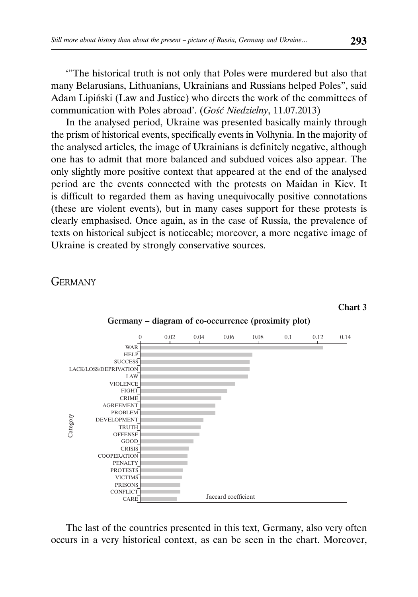'"The historical truth is not only that Poles were murdered but also that many Belarusians, Lithuanians, Ukrainians and Russians helped Poles", said Adam Lipiński (Law and Justice) who directs the work of the committees of communication with Poles abroad'. (*Gość Niedzielny*, 11.07.2013)

In the analysed period, Ukraine was presented basically mainly through the prism of historical events, specifically events in Volhynia. In the majority of the analysed articles, the image of Ukrainians is definitely negative, although one has to admit that more balanced and subdued voices also appear. The only slightly more positive context that appeared at the end of the analysed period are the events connected with the protests on Maidan in Kiev. It is difficult to regarded them as having unequivocally positive connotations (these are violent events), but in many cases support for these protests is clearly emphasised. Once again, as in the case of Russia, the prevalence of texts on historical subject is noticeable; moreover, a more negative image of Ukraine is created by strongly conservative sources.

**GERMANY** 



The last of the countries presented in this text, Germany, also very often occurs in a very historical context, as can be seen in the chart. Moreover,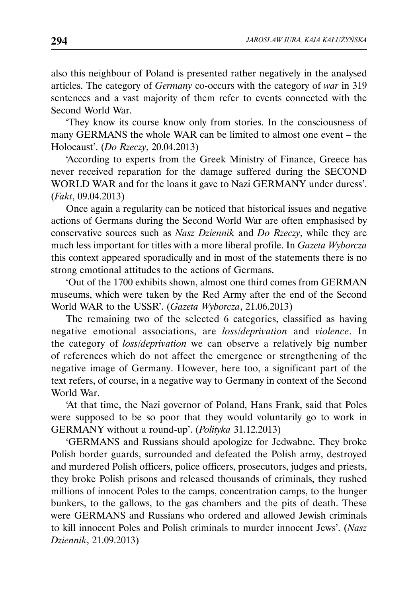also this neighbour of Poland is presented rather negatively in the analysed articles. The category of *Germany* co-occurs with the category of *war* in 319 sentences and a vast majority of them refer to events connected with the Second World War.

'They know its course know only from stories. In the consciousness of many GERMANS the whole WAR can be limited to almost one event – the Holocaust'. (*Do Rzeczy*, 20.04.2013)

'According to experts from the Greek Ministry of Finance, Greece has never received reparation for the damage suffered during the SECOND WORLD WAR and for the loans it gave to Nazi GERMANY under duress'. (*Fakt*, 09.04.2013)

Once again a regularity can be noticed that historical issues and negative actions of Germans during the Second World War are often emphasised by conservative sources such as *Nasz Dziennik* and *Do Rzeczy*, while they are much less important for titles with a more liberal profile. In *Gazeta Wyborcza* this context appeared sporadically and in most of the statements there is no strong emotional attitudes to the actions of Germans.

'Out of the 1700 exhibits shown, almost one third comes from GERMAN museums, which were taken by the Red Army after the end of the Second World WAR to the USSR'. (*Gazeta Wyborcza*, 21.06.2013)

The remaining two of the selected 6 categories, classified as having negative emotional associations, are *loss*/*deprivation* and *violence*. In the category of *loss*/*deprivation* we can observe a relatively big number of references which do not affect the emergence or strengthening of the negative image of Germany. However, here too, a significant part of the text refers, of course, in a negative way to Germany in context of the Second World War.

'At that time, the Nazi governor of Poland, Hans Frank, said that Poles were supposed to be so poor that they would voluntarily go to work in GERMANY without a round-up'. (*Polityka* 31.12.2013)

'GERMANS and Russians should apologize for Jedwabne. They broke Polish border guards, surrounded and defeated the Polish army, destroyed and murdered Polish officers, police officers, prosecutors, judges and priests, they broke Polish prisons and released thousands of criminals, they rushed millions of innocent Poles to the camps, concentration camps, to the hunger bunkers, to the gallows, to the gas chambers and the pits of death. These were GERMANS and Russians who ordered and allowed Jewish criminals to kill innocent Poles and Polish criminals to murder innocent Jews'. (*Nasz Dziennik*, 21.09.2013)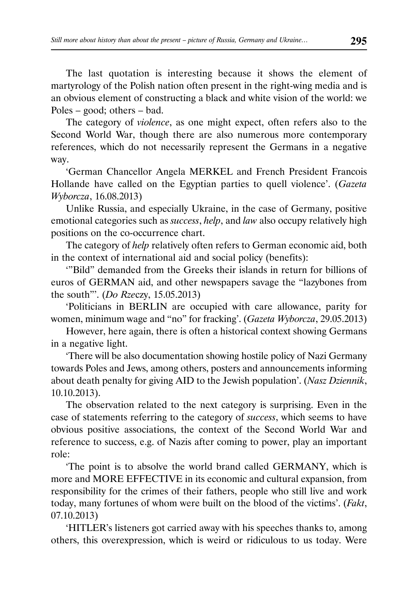The last quotation is interesting because it shows the element of martyrology of the Polish nation often present in the right-wing media and is an obvious element of constructing a black and white vision of the world: we Poles – good; others – bad.

The category of *violence*, as one might expect, often refers also to the Second World War, though there are also numerous more contemporary references, which do not necessarily represent the Germans in a negative way.

'German Chancellor Angela MERKEL and French President Francois Hollande have called on the Egyptian parties to quell violence'. (*Gazeta Wyborcza*, 16.08.2013)

Unlike Russia, and especially Ukraine, in the case of Germany, positive emotional categories such as *success*, *help*, and *law* also occupy relatively high positions on the co-occurrence chart.

The category of *help* relatively often refers to German economic aid, both in the context of international aid and social policy (benefits):

'"Bild" demanded from the Greeks their islands in return for billions of euros of GERMAN aid, and other newspapers savage the "lazybones from the south"'. (*Do Rze*czy, 15.05.2013)

'Politicians in BERLIN are occupied with care allowance, parity for women, minimum wage and "no" for fracking'. (*Gazeta Wyborcza*, 29.05.2013)

However, here again, there is often a historical context showing Germans in a negative light.

'There will be also documentation showing hostile policy of Nazi Germany towards Poles and Jews, among others, posters and announcements informing about death penalty for giving AID to the Jewish population'. (*Nasz Dziennik*, 10.10.2013).

The observation related to the next category is surprising. Even in the case of statements referring to the category of *success*, which seems to have obvious positive associations, the context of the Second World War and reference to success, e.g. of Nazis after coming to power, play an important role:

'The point is to absolve the world brand called GERMANY, which is more and MORE EFFECTIVE in its economic and cultural expansion, from responsibility for the crimes of their fathers, people who still live and work today, many fortunes of whom were built on the blood of the victims'. (*Fakt*, 07.10.2013)

'HITLER's listeners got carried away with his speeches thanks to, among others, this overexpression, which is weird or ridiculous to us today. Were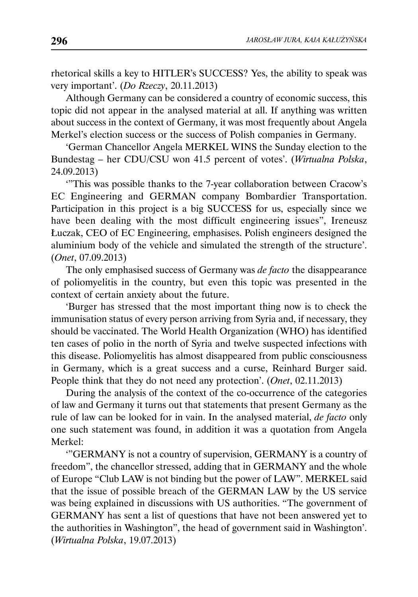rhetorical skills a key to HITLER's SUCCESS? Yes, the ability to speak was very important'. (*Do Rzeczy*, 20.11.2013)

Although Germany can be considered a country of economic success, this topic did not appear in the analysed material at all. If anything was written about success in the context of Germany, it was most frequently about Angela Merkel's election success or the success of Polish companies in Germany.

'German Chancellor Angela MERKEL WINS the Sunday election to the Bundestag – her CDU/CSU won 41.5 percent of votes'. (*Wirtualna Polska*, 24.09.2013)

'"This was possible thanks to the 7-year collaboration between Cracow's EC Engineering and GERMAN company Bombardier Transportation. Participation in this project is a big SUCCESS for us, especially since we have been dealing with the most difficult engineering issues", Ireneusz Łuczak, CEO of EC Engineering, emphasises. Polish engineers designed the aluminium body of the vehicle and simulated the strength of the structure'. (*Onet*, 07.09.2013)

The only emphasised success of Germany was *de facto* the disappearance of poliomyelitis in the country, but even this topic was presented in the context of certain anxiety about the future.

'Burger has stressed that the most important thing now is to check the immunisation status of every person arriving from Syria and, if necessary, they should be vaccinated. The World Health Organization (WHO) has identified ten cases of polio in the north of Syria and twelve suspected infections with this disease. Poliomyelitis has almost disappeared from public consciousness in Germany, which is a great success and a curse, Reinhard Burger said. People think that they do not need any protection'. (*Onet*, 02.11.2013)

During the analysis of the context of the co-occurrence of the categories of law and Germany it turns out that statements that present Germany as the rule of law can be looked for in vain. In the analysed material, *de facto* only one such statement was found, in addition it was a quotation from Angela Merkel:

'"GERMANY is not a country of supervision, GERMANY is a country of freedom", the chancellor stressed, adding that in GERMANY and the whole of Europe "Club LAW is not binding but the power of LAW". MERKEL said that the issue of possible breach of the GERMAN LAW by the US service was being explained in discussions with US authorities. "The government of GERMANY has sent a list of questions that have not been answered yet to the authorities in Washington", the head of government said in Washington'. (*Wirtualna Polska*, 19.07.2013)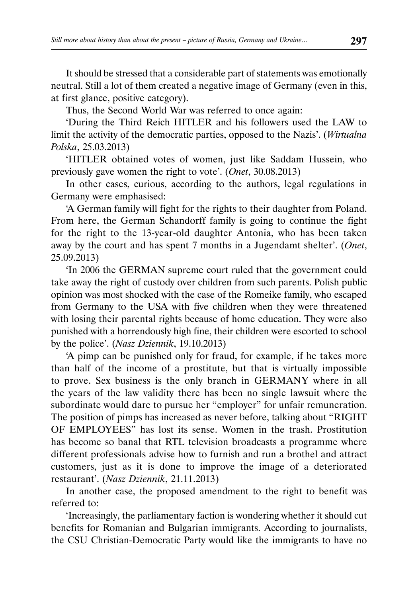It should be stressed that a considerable part of statements was emotionally neutral. Still a lot of them created a negative image of Germany (even in this, at first glance, positive category).

Thus, the Second World War was referred to once again:

'During the Third Reich HITLER and his followers used the LAW to limit the activity of the democratic parties, opposed to the Nazis'. (*Wirtualna Polska*, 25.03.2013)

'HITLER obtained votes of women, just like Saddam Hussein, who previously gave women the right to vote'. (*Onet*, 30.08.2013)

In other cases, curious, according to the authors, legal regulations in Germany were emphasised:

'A German family will fight for the rights to their daughter from Poland. From here, the German Schandorff family is going to continue the fight for the right to the 13-year-old daughter Antonia, who has been taken away by the court and has spent 7 months in a Jugendamt shelter'. (*Onet*, 25.09.2013)

'In 2006 the GERMAN supreme court ruled that the government could take away the right of custody over children from such parents. Polish public opinion was most shocked with the case of the Romeike family, who escaped from Germany to the USA with five children when they were threatened with losing their parental rights because of home education. They were also punished with a horrendously high fine, their children were escorted to school by the police'. (*Nasz Dziennik*, 19.10.2013)

'A pimp can be punished only for fraud, for example, if he takes more than half of the income of a prostitute, but that is virtually impossible to prove. Sex business is the only branch in GERMANY where in all the years of the law validity there has been no single lawsuit where the subordinate would dare to pursue her "employer" for unfair remuneration. The position of pimps has increased as never before, talking about "RIGHT OF EMPLOYEES" has lost its sense. Women in the trash. Prostitution has become so banal that RTL television broadcasts a programme where different professionals advise how to furnish and run a brothel and attract customers, just as it is done to improve the image of a deteriorated restaurant'. (*Nasz Dziennik*, 21.11.2013)

In another case, the proposed amendment to the right to benefit was referred to:

'Increasingly, the parliamentary faction is wondering whether it should cut benefits for Romanian and Bulgarian immigrants. According to journalists, the CSU Christian-Democratic Party would like the immigrants to have no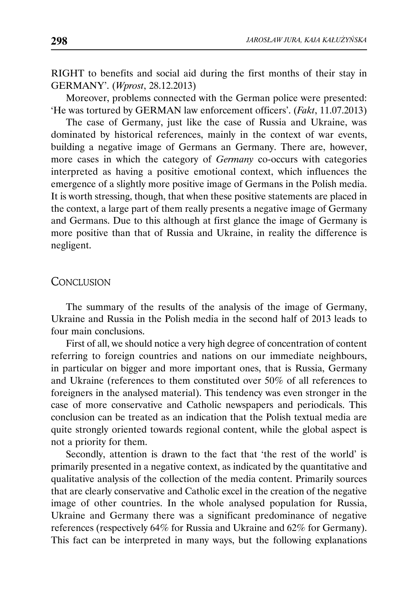RIGHT to benefits and social aid during the first months of their stay in GERMANY'. (*Wprost*, 28.12.2013)

Moreover, problems connected with the German police were presented: 'He was tortured by GERMAN law enforcement officers'. (*Fakt*, 11.07.2013)

The case of Germany, just like the case of Russia and Ukraine, was dominated by historical references, mainly in the context of war events, building a negative image of Germans an Germany. There are, however, more cases in which the category of *Germany* co-occurs with categories interpreted as having a positive emotional context, which influences the emergence of a slightly more positive image of Germans in the Polish media. It is worth stressing, though, that when these positive statements are placed in the context, a large part of them really presents a negative image of Germany and Germans. Due to this although at first glance the image of Germany is more positive than that of Russia and Ukraine, in reality the difference is negligent.

#### **CONCLUSION**

The summary of the results of the analysis of the image of Germany, Ukraine and Russia in the Polish media in the second half of 2013 leads to four main conclusions.

First of all, we should notice a very high degree of concentration of content referring to foreign countries and nations on our immediate neighbours, in particular on bigger and more important ones, that is Russia, Germany and Ukraine (references to them constituted over 50% of all references to foreigners in the analysed material). This tendency was even stronger in the case of more conservative and Catholic newspapers and periodicals. This conclusion can be treated as an indication that the Polish textual media are quite strongly oriented towards regional content, while the global aspect is not a priority for them.

Secondly, attention is drawn to the fact that 'the rest of the world' is primarily presented in a negative context, as indicated by the quantitative and qualitative analysis of the collection of the media content. Primarily sources that are clearly conservative and Catholic excel in the creation of the negative image of other countries. In the whole analysed population for Russia, Ukraine and Germany there was a significant predominance of negative references (respectively 64% for Russia and Ukraine and 62% for Germany). This fact can be interpreted in many ways, but the following explanations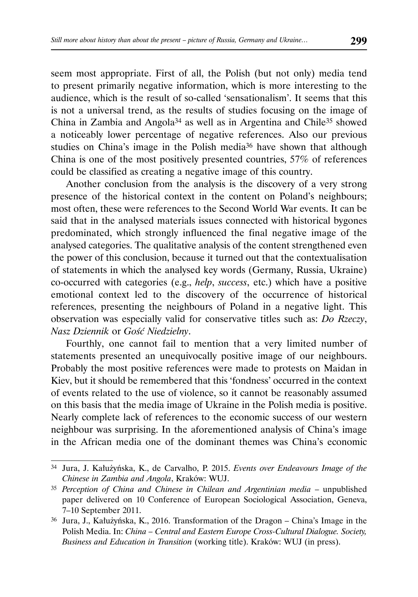seem most appropriate. First of all, the Polish (but not only) media tend to present primarily negative information, which is more interesting to the audience, which is the result of so-called 'sensationalism'. It seems that this is not a universal trend, as the results of studies focusing on the image of China in Zambia and Angola34 as well as in Argentina and Chile35 showed a noticeably lower percentage of negative references. Also our previous studies on China's image in the Polish media36 have shown that although China is one of the most positively presented countries, 57% of references could be classified as creating a negative image of this country.

Another conclusion from the analysis is the discovery of a very strong presence of the historical context in the content on Poland's neighbours; most often, these were references to the Second World War events. It can be said that in the analysed materials issues connected with historical bygones predominated, which strongly influenced the final negative image of the analysed categories. The qualitative analysis of the content strengthened even the power of this conclusion, because it turned out that the contextualisation of statements in which the analysed key words (Germany, Russia, Ukraine) co-occurred with categories (e.g., *help*, *success*, etc.) which have a positive emotional context led to the discovery of the occurrence of historical references, presenting the neighbours of Poland in a negative light. This observation was especially valid for conservative titles such as: *Do Rzeczy*, *Nasz Dziennik* or *Gość Niedzielny*.

Fourthly, one cannot fail to mention that a very limited number of statements presented an unequivocally positive image of our neighbours. Probably the most positive references were made to protests on Maidan in Kiev, but it should be remembered that this 'fondness' occurred in the context of events related to the use of violence, so it cannot be reasonably assumed on this basis that the media image of Ukraine in the Polish media is positive. Nearly complete lack of references to the economic success of our western neighbour was surprising. In the aforementioned analysis of China's image in the African media one of the dominant themes was China's economic

<sup>34</sup> Jura, J. Kałużyńska, K., de Carvalho, P. 2015. *Events over Endeavours Image of the Chinese in Zambia and Angola*, Kraków: WUJ.

<sup>35</sup> *Perception of China and Chinese in Chilean and Argentinian media* – unpublished paper delivered on 10 Conference of European Sociological Association, Geneva, 7–10 September 2011.

<sup>36</sup> Jura, J., Kałużyńska, K., 2016. Transformation of the Dragon – China's Image in the Polish Media. In: *China – Central and Eastern Europe Cross-Cultural Dialogue. Society, Business and Education in Transition* (working title). Kraków: WUJ (in press).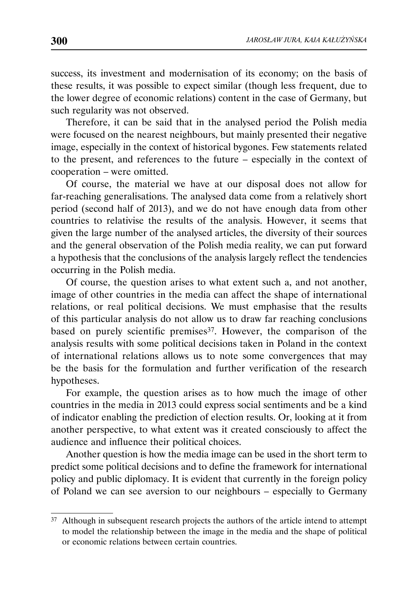success, its investment and modernisation of its economy; on the basis of these results, it was possible to expect similar (though less frequent, due to the lower degree of economic relations) content in the case of Germany, but such regularity was not observed.

Therefore, it can be said that in the analysed period the Polish media were focused on the nearest neighbours, but mainly presented their negative image, especially in the context of historical bygones. Few statements related to the present, and references to the future – especially in the context of cooperation – were omitted.

Of course, the material we have at our disposal does not allow for far-reaching generalisations. The analysed data come from a relatively short period (second half of 2013), and we do not have enough data from other countries to relativise the results of the analysis. However, it seems that given the large number of the analysed articles, the diversity of their sources and the general observation of the Polish media reality, we can put forward a hypothesis that the conclusions of the analysis largely reflect the tendencies occurring in the Polish media.

Of course, the question arises to what extent such a, and not another, image of other countries in the media can affect the shape of international relations, or real political decisions. We must emphasise that the results of this particular analysis do not allow us to draw far reaching conclusions based on purely scientific premises<sup>37</sup>. However, the comparison of the analysis results with some political decisions taken in Poland in the context of international relations allows us to note some convergences that may be the basis for the formulation and further verification of the research hypotheses.

For example, the question arises as to how much the image of other countries in the media in 2013 could express social sentiments and be a kind of indicator enabling the prediction of election results. Or, looking at it from another perspective, to what extent was it created consciously to affect the audience and influence their political choices.

Another question is how the media image can be used in the short term to predict some political decisions and to define the framework for international policy and public diplomacy. It is evident that currently in the foreign policy of Poland we can see aversion to our neighbours – especially to Germany

<sup>37</sup> Although in subsequent research projects the authors of the article intend to attempt to model the relationship between the image in the media and the shape of political or economic relations between certain countries.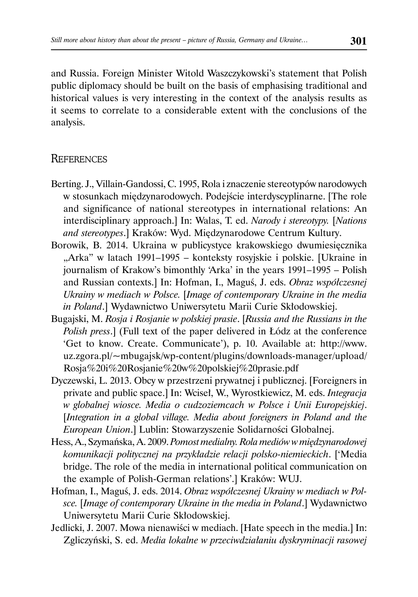and Russia. Foreign Minister Witold Waszczykowski's statement that Polish public diplomacy should be built on the basis of emphasising traditional and historical values is very interesting in the context of the analysis results as it seems to correlate to a considerable extent with the conclusions of the analysis.

## **REFERENCES**

- Berting. J., Villain-Gandossi, C. 1995, Rola i znaczenie stereotypów narodowych w stosunkach międzynarodowych. Podejście interdyscyplinarne. [The role and significance of national stereotypes in international relations: An interdisciplinary approach.] In: Walas, T. ed. *Narody i stereotypy.* [*Nations and stereotypes*.] Kraków: Wyd. Międzynarodowe Centrum Kultury.
- Borowik, B. 2014. Ukraina w publicystyce krakowskiego dwumiesięcznika "Arka" w latach 1991–1995 – konteksty rosyjskie i polskie. [Ukraine in journalism of Krakow's bimonthly 'Arka' in the years 1991–1995 – Polish and Russian contexts.] In: Hofman, I., Maguś, J. eds. *Obraz współczesnej Ukrainy w mediach w Polsce.* [*Image of contemporary Ukraine in the media in Poland*.] Wydawnictwo Uniwersytetu Marii Curie Skłodowskiej.
- Bugajski, M. *Rosja i Rosjanie w polskiej prasie*. [*Russia and the Russians in the Polish press*.] (Full text of the paper delivered in Łódz at the conference 'Get to know. Create. Communicate'), p. 10. Available at: http://www. uz.zgora.pl/~mbugajsk/wp-content/plugins/downloads-manager/upload/ Rosja%20i%20Rosjanie%20w%20polskiej%20prasie.pdf
- Dyczewski, L. 2013. Obcy w przestrzeni prywatnej i publicznej. [Foreigners in private and public space.] In: Wciseł, W., Wyrostkiewicz, M. eds. *Integracja w globalnej wiosce. Media o cudzoziemcach w Polsce i Unii Europejskiej*. [*Integration in a global village. Media about foreigners in Poland and the European Union*.] Lublin: Stowarzyszenie Solidarności Globalnej.
- Hess, A., Szymańska, A. 2009. *Pomost medialny. Rola mediów w międzynarodowej komunikacji politycznej na przykładzie relacji polsko-niemieckich*. ['Media bridge. The role of the media in international political communication on the example of Polish-German relations'.] Kraków: WUJ.
- Hofman, I., Maguś, J. eds. 2014. *Obraz współczesnej Ukrainy w mediach w Polsce.* [*Image of contemporary Ukraine in the media in Poland*.] Wydawnictwo Uniwersytetu Marii Curie Skłodowskiej.
- Jedlicki, J. 2007. Mowa nienawiści w mediach. [Hate speech in the media.] In: Zgliczyński, S. ed. *Media lokalne w przeciwdziałaniu dyskryminacji rasowej*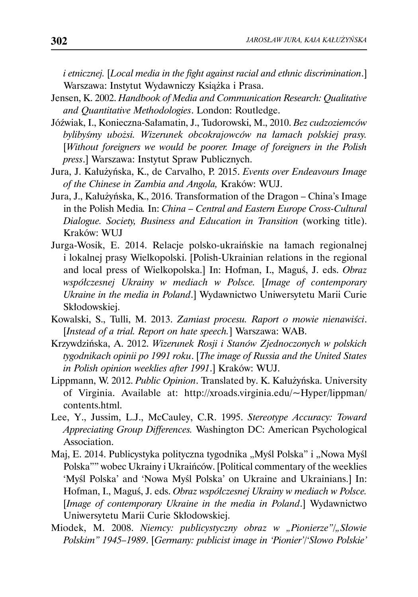*i etnicznej.* [*Local media in the fight against racial and ethnic discrimination*.] Warszawa: Instytut Wydawniczy Książka i Prasa.

- Jensen, K. 2002. *Handbook of Media and Communication Research: Qualitative and Quantitative Methodologies*. London: Routledge.
- Jóźwiak, I., Konieczna-Sałamatin, J., Tudorowski, M., 2010. *Bez cudzoziemców bylibyśmy ubożsi. Wizerunek obcokrajowców na łamach polskiej prasy.*  [*Without foreigners we would be poorer. Image of foreigners in the Polish press*.] Warszawa: Instytut Spraw Publicznych.
- Jura, J. Kałużyńska, K., de Carvalho, P. 2015. *Events over Endeavours Image of the Chinese in Zambia and Angola,* Kraków: WUJ.
- Jura, J., Kałużyńska, K., 2016. Transformation of the Dragon China's Image in the Polish Media*.* In: *China – Central and Eastern Europe Cross-Cultural Dialogue. Society, Business and Education in Transition* (working title). Kraków: WUJ
- Jurga-Wosik, E. 2014. Relacje polsko-ukraińskie na łamach regionalnej i lokalnej prasy Wielkopolski. [Polish-Ukrainian relations in the regional and local press of Wielkopolska.] In: Hofman, I., Maguś, J. eds. *Obraz współczesnej Ukrainy w mediach w Polsce.* [*Image of contemporary Ukraine in the media in Poland*.] Wydawnictwo Uniwersytetu Marii Curie Skłodowskiej.
- Kowalski, S., Tulli, M. 2013. *Zamiast procesu. Raport o mowie nienawiści*. [*Instead of a trial. Report on hate speech.*] Warszawa: WAB.
- Krzywdzińska, A. 2012. *Wizerunek Rosji i Stanów Zjednoczonych w polskich tygodnikach opinii po 1991 roku*. [*The image of Russia and the United States in Polish opinion weeklies after 1991*.] Kraków: WUJ.
- Lippmann, W. 2012. *Public Opinion*. Translated by. K. Kałużyńska. University of Virginia. Available at: http://xroads.virginia.edu/~Hyper/lippman/ contents.html.
- Lee, Y., Jussim, L.J., McCauley, C.R. 1995. *Stereotype Accuracy: Toward Appreciating Group Differences.* Washington DC: American Psychological Association.
- Maj, E. 2014. Publicystyka polityczna tygodnika "Myśl Polska" i "Nowa Myśl Polska"" wobec Ukrainy i Ukraińców. [Political commentary of the weeklies 'Myśl Polska' and 'Nowa Myśl Polska' on Ukraine and Ukrainians.] In: Hofman, I., Maguś, J. eds. *Obraz współczesnej Ukrainy w mediach w Polsce.*  [*Image of contemporary Ukraine in the media in Poland*.] Wydawnictwo Uniwersytetu Marii Curie Skłodowskiej.
- Miodek, M. 2008. *Niemcy: publicystyczny obraz w "Pionierze"/"Słowie Polskim" 1945–1989*. [*Germany: publicist image in 'Pionier'/'Słowo Polskie'*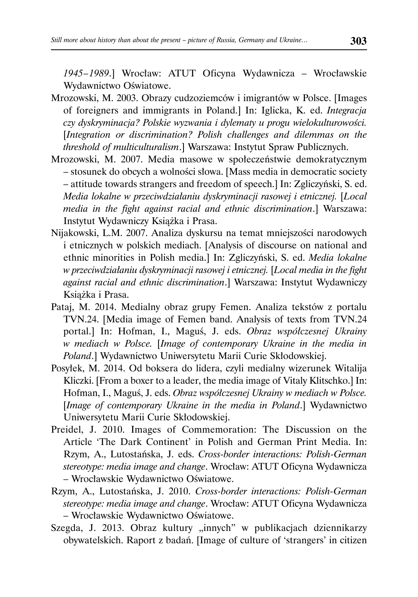*1945 – 1989*.] Wrocław: ATUT Oficyna Wydawnicza – Wrocławskie Wydawnictwo Oświatowe.

- Mrozowski, M. 2003. Obrazy cudzoziemców i imigrantów w Polsce. [Images of foreigners and immigrants in Poland.] In: Iglicka, K. ed. *Integracja czy dyskryminacja? Polskie wyzwania i dylematy u progu wielokulturowości.* [*Integration or discrimination? Polish challenges and dilemmas on the threshold of multiculturalism*.] Warszawa: Instytut Spraw Publicznych.
- Mrozowski, M. 2007. Media masowe w społeczeństwie demokratycznym – stosunek do obcych a wolności słowa. [Mass media in democratic society – attitude towards strangers and freedom of speech.] In: Zgliczyński, S. ed. *Media lokalne w przeciwdziałaniu dyskryminacji rasowej i etnicznej.* [*Local media in the fight against racial and ethnic discrimination*.] Warszawa: Instytut Wydawniczy Książka i Prasa.
- Nijakowski, L.M. 2007. Analiza dyskursu na temat mniejszości narodowych i etnicznych w polskich mediach. [Analysis of discourse on national and ethnic minorities in Polish media.] In: Zgliczyński, S. ed. *Media lokalne w przeciwdziałaniu dyskryminacji rasowej i etnicznej.* [*Local media in the fight against racial and ethnic discrimination*.] Warszawa: Instytut Wydawniczy Książka i Prasa.
- Pataj, M. 2014. Medialny obraz grupy Femen. Analiza tekstów z portalu TVN.24. [Media image of Femen band. Analysis of texts from TVN.24 portal.] In: Hofman, I., Maguś, J. eds. *Obraz współczesnej Ukrainy w mediach w Polsce.* [*Image of contemporary Ukraine in the media in Poland*.] Wydawnictwo Uniwersytetu Marii Curie Skłodowskiej.
- Posyłek, M. 2014. Od boksera do lidera, czyli medialny wizerunek Witalija Kliczki. [From a boxer to a leader, the media image of Vitaly Klitschko.] In: Hofman, I., Maguś, J. eds. *Obraz współczesnej Ukrainy w mediach w Polsce.*  [*Image of contemporary Ukraine in the media in Poland*.] Wydawnictwo Uniwersytetu Marii Curie Skłodowskiej.
- Preidel, J. 2010. Images of Commemoration: The Discussion on the Article 'The Dark Continent' in Polish and German Print Media. In: Rzym, A., Lutostańska, J. eds. *Cross-border interactions: Polish-German stereotype: media image and change*. Wrocław: ATUT Oficyna Wydawnicza – Wrocławskie Wydawnictwo Oświatowe.
- Rzym, A., Lutostańska, J. 2010. *Cross-border interactions: Polish-German stereotype: media image and change*. Wrocław: ATUT Oficyna Wydawnicza – Wrocławskie Wydawnictwo Oświatowe.
- Szegda, J. 2013. Obraz kultury "innych" w publikacjach dziennikarzy obywatelskich. Raport z badań. [Image of culture of 'strangers' in citizen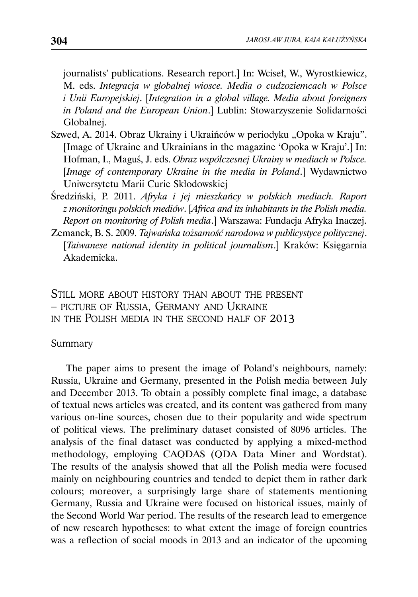journalists' publications. Research report.] In: Wciseł, W., Wyrostkiewicz, M. eds. *Integracja w globalnej wiosce. Media o cudzoziemcach w Polsce i Unii Europejskiej*. [*Integration in a global village. Media about foreigners in Poland and the European Union*.] Lublin: Stowarzyszenie Solidarności Globalnej.

- Szwed, A. 2014. Obraz Ukrainy i Ukraińców w periodyku "Opoka w Kraju". [Image of Ukraine and Ukrainians in the magazine 'Opoka w Kraju'.] In: Hofman, I., Maguś, J. eds. *Obraz współczesnej Ukrainy w mediach w Polsce.*  [*Image of contemporary Ukraine in the media in Poland*.] Wydawnictwo Uniwersytetu Marii Curie Skłodowskiej
- Średziński, P. 2011. *Afryka i jej mieszkańcy w polskich mediach. Raport z monitoringu polskich mediów*. [*Africa and its inhabitants in the Polish media. Report on monitoring of Polish media*.] Warszawa: Fundacja Afryka Inaczej.
- Zemanek, B. S. 2009. *Tajwańska tożsamość narodowa w publicystyce politycznej*. [*Taiwanese national identity in political journalism*.] Kraków: Księgarnia Akademicka.

STILL MORE ABOUT HISTORY THAN ABOUT THE PRESENT – PICTURE OF RUSSIA, GERMANY AND UKRAINE IN THE POLISH MEDIA IN THE SECOND HALF OF 2013

### Summary

The paper aims to present the image of Poland's neighbours, namely: Russia, Ukraine and Germany, presented in the Polish media between July and December 2013. To obtain a possibly complete final image, a database of textual news articles was created, and its content was gathered from many various on-line sources, chosen due to their popularity and wide spectrum of political views. The preliminary dataset consisted of 8096 articles. The analysis of the final dataset was conducted by applying a mixed-method methodology, employing CAQDAS (QDA Data Miner and Wordstat). The results of the analysis showed that all the Polish media were focused mainly on neighbouring countries and tended to depict them in rather dark colours; moreover, a surprisingly large share of statements mentioning Germany, Russia and Ukraine were focused on historical issues, mainly of the Second World War period. The results of the research lead to emergence of new research hypotheses: to what extent the image of foreign countries was a reflection of social moods in 2013 and an indicator of the upcoming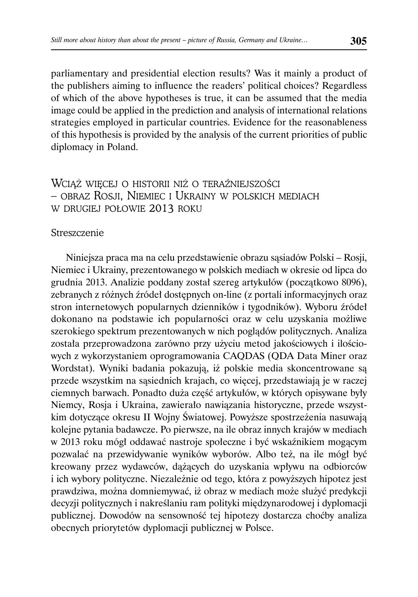parliamentary and presidential election results? Was it mainly a product of the publishers aiming to influence the readers' political choices? Regardless of which of the above hypotheses is true, it can be assumed that the media image could be applied in the prediction and analysis of international relations strategies employed in particular countries. Evidence for the reasonableness of this hypothesis is provided by the analysis of the current priorities of public diplomacy in Poland.

# WCIĄŻ WIĘCEJ O HISTORII NIŻ O TERAŹNIEJSZOŚCI – OBRAZ ROSJI, NIEMIEC I UKRAINY W POLSKICH MEDIACH W DRUGIEJ POŁOWIE 2013 ROKU

#### **Streszczenie**

Niniejsza praca ma na celu przedstawienie obrazu sąsiadów Polski – Rosji, Niemiec i Ukrainy, prezentowanego w polskich mediach w okresie od lipca do grudnia 2013. Analizie poddany został szereg artykułów (początkowo 8096), zebranych z różnych źródeł dostępnych on-line (z portali informacyjnych oraz stron internetowych popularnych dzienników i tygodników). Wyboru źródeł dokonano na podstawie ich popularności oraz w celu uzyskania możliwe szerokiego spektrum prezentowanych w nich poglądów politycznych. Analiza została przeprowadzona zarówno przy użyciu metod jakościowych i ilościowych z wykorzystaniem oprogramowania CAQDAS (QDA Data Miner oraz Wordstat). Wyniki badania pokazują, iż polskie media skoncentrowane są przede wszystkim na sąsiednich krajach, co więcej, przedstawiają je w raczej ciemnych barwach. Ponadto duża część artykułów, w których opisywane były Niemcy, Rosja i Ukraina, zawierało nawiązania historyczne, przede wszystkim dotyczące okresu II Wojny Światowej. Powyższe spostrzeżenia nasuwają kolejne pytania badawcze. Po pierwsze, na ile obraz innych krajów w mediach w 2013 roku mógł oddawać nastroje społeczne i być wskaźnikiem mogącym pozwalać na przewidywanie wyników wyborów. Albo też, na ile mógł być kreowany przez wydawców, dążących do uzyskania wpływu na odbiorców i ich wybory polityczne. Niezależnie od tego, która z powyższych hipotez jest prawdziwa, można domniemywać, iż obraz w mediach może służyć predykcji decyzji politycznych i nakreślaniu ram polityki międzynarodowej i dyplomacji publicznej. Dowodów na sensowność tej hipotezy dostarcza choćby analiza obecnych priorytetów dyplomacji publicznej w Polsce.